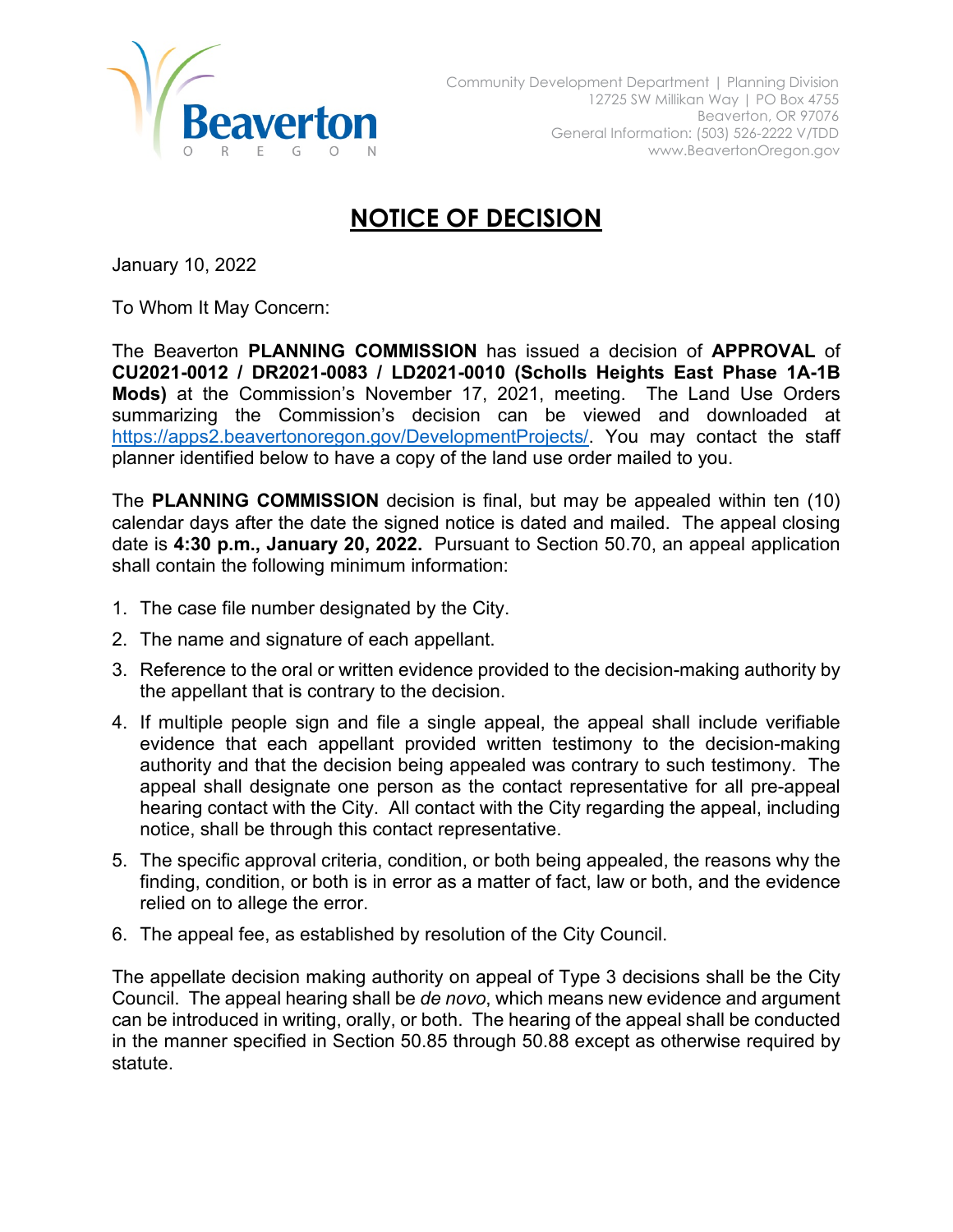

## **NOTICE OF DECISION**

January 10, 2022

To Whom It May Concern:

The Beaverton **PLANNING COMMISSION** has issued a decision of **APPROVAL** of **CU2021-0012 / DR2021-0083 / LD2021-0010 (Scholls Heights East Phase 1A-1B Mods)** at the Commission's November 17, 2021, meeting. The Land Use Orders summarizing the Commission's decision can be viewed and downloaded at [https://apps2.beavertonoregon.gov/DevelopmentProjects/.](https://apps2.beavertonoregon.gov/DevelopmentProjects/) You may contact the staff planner identified below to have a copy of the land use order mailed to you.

The **PLANNING COMMISSION** decision is final, but may be appealed within ten (10) calendar days after the date the signed notice is dated and mailed. The appeal closing date is **4:30 p.m., January 20, 2022.** Pursuant to Section 50.70, an appeal application shall contain the following minimum information:

- 1. The case file number designated by the City.
- 2. The name and signature of each appellant.
- 3. Reference to the oral or written evidence provided to the decision-making authority by the appellant that is contrary to the decision.
- 4. If multiple people sign and file a single appeal, the appeal shall include verifiable evidence that each appellant provided written testimony to the decision-making authority and that the decision being appealed was contrary to such testimony. The appeal shall designate one person as the contact representative for all pre-appeal hearing contact with the City. All contact with the City regarding the appeal, including notice, shall be through this contact representative.
- 5. The specific approval criteria, condition, or both being appealed, the reasons why the finding, condition, or both is in error as a matter of fact, law or both, and the evidence relied on to allege the error.
- 6. The appeal fee, as established by resolution of the City Council.

The appellate decision making authority on appeal of Type 3 decisions shall be the City Council. The appeal hearing shall be *de novo*, which means new evidence and argument can be introduced in writing, orally, or both. The hearing of the appeal shall be conducted in the manner specified in Section 50.85 through 50.88 except as otherwise required by statute.